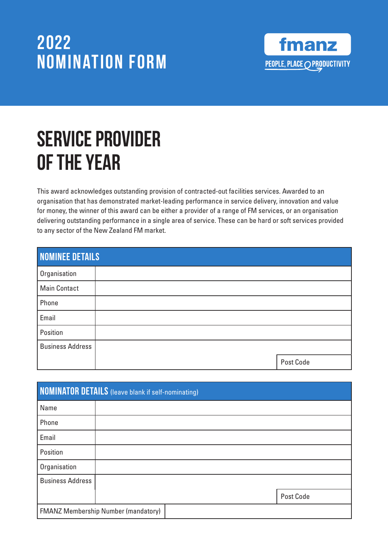

# SERVICE PROVIDER Of the Year

This award acknowledges outstanding provision of contracted-out facilities services. Awarded to an organisation that has demonstrated market-leading performance in service delivery, innovation and value for money, the winner of this award can be either a provider of a range of FM services, or an organisation delivering outstanding performance in a single area of service. These can be hard or soft services provided to any sector of the New Zealand FM market.

| <b>NOMINEE DETAILS</b>  |  |           |
|-------------------------|--|-----------|
| Organisation            |  |           |
| <b>Main Contact</b>     |  |           |
| Phone                   |  |           |
| Email                   |  |           |
| Position                |  |           |
| <b>Business Address</b> |  |           |
|                         |  | Post Code |

| <b>NOMINATOR DETAILS</b> (leave blank if self-nominating) |  |  |  |           |
|-----------------------------------------------------------|--|--|--|-----------|
| Name                                                      |  |  |  |           |
| Phone                                                     |  |  |  |           |
| Email                                                     |  |  |  |           |
| Position                                                  |  |  |  |           |
| Organisation                                              |  |  |  |           |
| <b>Business Address</b>                                   |  |  |  |           |
|                                                           |  |  |  | Post Code |
| <b>FMANZ Membership Number (mandatory)</b>                |  |  |  |           |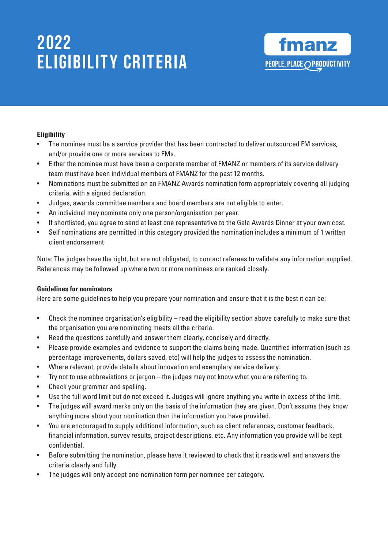# 2022 **ELIGIBILITY CRITERIA**



#### **Eligibility**

- The nominee must be a service provider that has been contracted to deliver outsourced FM services, and/or provide one or more services to FMs.
- Either the nominee must have been a corporate member of FMANZ or members of its service delivery team must have been individual members of FMANZ for the past 12 months.
- Nominations must be submitted on an FMANZ Awards nomination form appropriately covering all judging criteria, with a signed declaration.
- Judges, awards committee members and board members are not eligible to enter.
- An individual may nominate only one person/organisation per year.
- If shortlisted, you agree to send at least one representative to the Gala Awards Dinner at your own cost.
- Self nominations are permitted in this category provided the nomination includes a minimum of 1 written client endorsement

Note: The judges have the right, but are not obligated, to contact referees to validate any information supplied. References may be followed up where two or more nominees are ranked closely.

#### **Guidelines for nominators**

Here are some guidelines to help you prepare your nomination and ensure that it is the best it can be:

- Check the nominee organisation's eligibility read the eligibility section above carefully to make sure that the organisation you are nominating meets all the criteria.
- Read the questions carefully and answer them clearly, concisely and directly.
- Please provide examples and evidence to support the claims being made. Quantified information (such as percentage improvements, dollars saved, etc) will help the judges to assess the nomination.
- Where relevant, provide details about innovation and exemplary service delivery.
- Try not to use abbreviations or jargon the judges may not know what you are referring to.
- Check your grammar and spelling.
- Use the full word limit but do not exceed it. Judges will ignore anything you write in excess of the limit.
- The judges will award marks only on the basis of the information they are given. Don't assume they know anything more about your nomination than the information you have provided.
- You are encouraged to supply additional information, such as client references, customer feedback, financial information, survey results, project descriptions, etc. Any information you provide will be kept confidential.
- Before submitting the nomination, please have it reviewed to check that it reads well and answers the criteria clearly and fully.
- The judges will only accept one nomination form per nominee per category.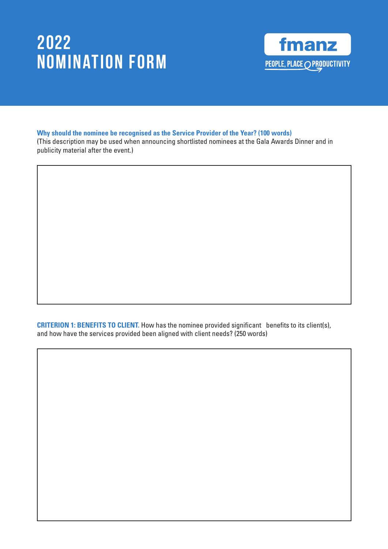

#### **Why should the nominee be recognised as the Service Provider of the Year? (100 words)**

(This description may be used when announcing shortlisted nominees at the Gala Awards Dinner and in publicity material after the event.)

**CRITERION 1: BENEFITS TO CLIENT.** How has the nominee provided significant benefits to its client(s), and how have the services provided been aligned with client needs? (250 words)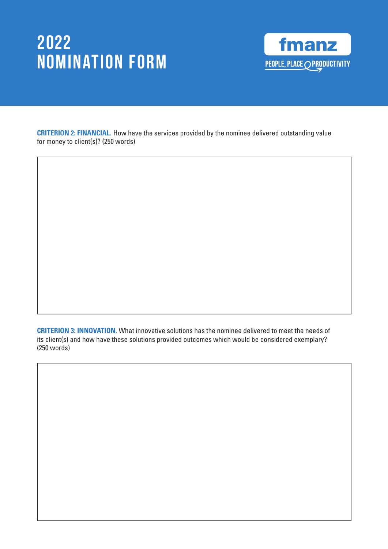

**CRITERION 2: FINANCIAL.** How have the services provided by the nominee delivered outstanding value for money to client(s)? (250 words)

**CRITERION 3: INNOVATION.** What innovative solutions has the nominee delivered to meet the needs of its client(s) and how have these solutions provided outcomes which would be considered exemplary? (250 words)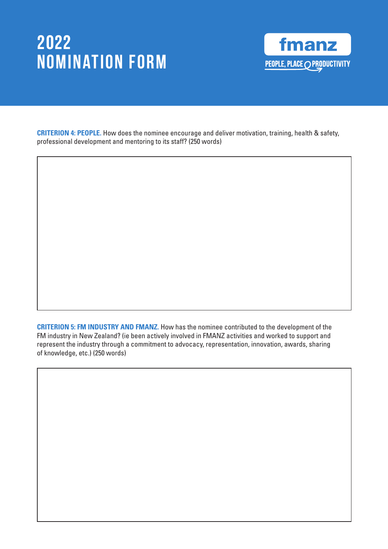

**CRITERION 4: PEOPLE.** How does the nominee encourage and deliver motivation, training, health & safety, professional development and mentoring to its staff? (250 words)

**CRITERION 5: FM INDUSTRY AND FMANZ.** How has the nominee contributed to the development of the FM industry in New Zealand? (ie been actively involved in FMANZ activities and worked to support and represent the industry through a commitment to advocacy, representation, innovation, awards, sharing of knowledge, etc.) (250 words)